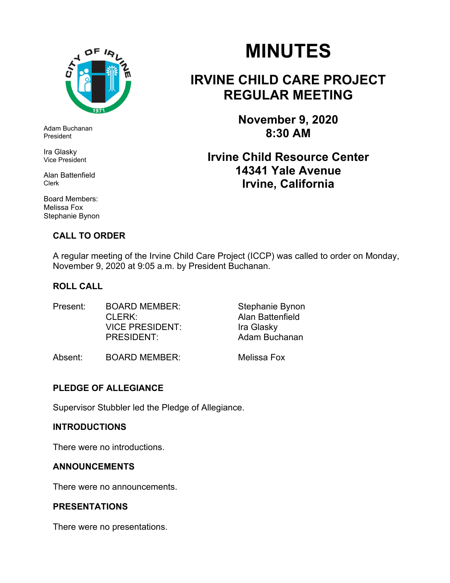

Adam Buchanan President

Ira Glasky Vice President

Alan Battenfield Clerk

Board Members: Melissa Fox Stephanie Bynon

#### **CALL TO ORDER**

# **MINUTES**

## **IRVINE CHILD CARE PROJECT REGULAR MEETING**

**November 9, 2020 8:30 AM** 

### **Irvine Child Resource Center 14341 Yale Avenue Irvine, California**

A regular meeting of the Irvine Child Care Project (ICCP) was called to order on Monday, November 9, 2020 at 9:05 a.m. by President Buchanan.

#### **ROLL CALL**

Present: BOARD MEMBER: Stephanie Bynon CLERK: Alan Battenfield VICE PRESIDENT:Ira Glasky PRESIDENT: Adam Buchanan

Absent: BOARD MEMBER: Melissa Fox

#### **PLEDGE OF ALLEGIANCE**

Supervisor Stubbler led the Pledge of Allegiance.

#### **INTRODUCTIONS**

There were no introductions.

#### **ANNOUNCEMENTS**

There were no announcements.

#### **PRESENTATIONS**

There were no presentations.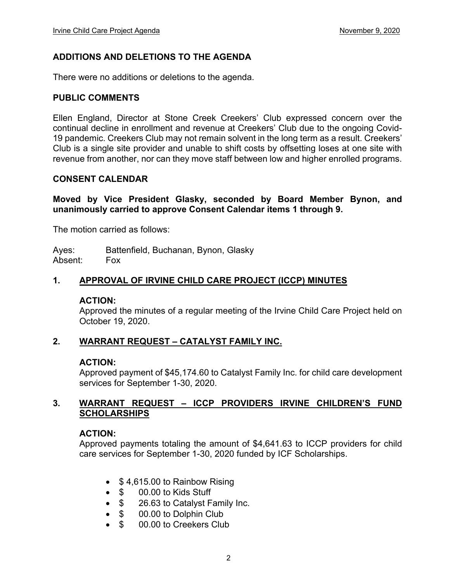#### **ADDITIONS AND DELETIONS TO THE AGENDA**

There were no additions or deletions to the agenda.

#### **PUBLIC COMMENTS**

Ellen England, Director at Stone Creek Creekers' Club expressed concern over the continual decline in enrollment and revenue at Creekers' Club due to the ongoing Covid-19 pandemic. Creekers Club may not remain solvent in the long term as a result. Creekers' Club is a single site provider and unable to shift costs by offsetting loses at one site with revenue from another, nor can they move staff between low and higher enrolled programs.

#### **CONSENT CALENDAR**

**Moved by Vice President Glasky, seconded by Board Member Bynon, and unanimously carried to approve Consent Calendar items 1 through 9.** 

The motion carried as follows:

Ayes: Battenfield, Buchanan, Bynon, Glasky Absent: Fox

#### **1. APPROVAL OF IRVINE CHILD CARE PROJECT (ICCP) MINUTES**

#### **ACTION:**

Approved the minutes of a regular meeting of the Irvine Child Care Project held on October 19, 2020.

#### **2. WARRANT REQUEST – CATALYST FAMILY INC.**

#### **ACTION:**

Approved payment of \$45,174.60 to Catalyst Family Inc. for child care development services for September 1-30, 2020.

#### **3. WARRANT REQUEST – ICCP PROVIDERS IRVINE CHILDREN'S FUND SCHOLARSHIPS**

#### **ACTION:**

Approved payments totaling the amount of \$4,641.63 to ICCP providers for child care services for September 1-30, 2020 funded by ICF Scholarships.

- \$4,615.00 to Rainbow Rising
- \$ 00.00 to Kids Stuff
- \$ 26.63 to Catalyst Family Inc.
- $\bullet$  \$ 00.00 to Dolphin Club
- \$ 00.00 to Creekers Club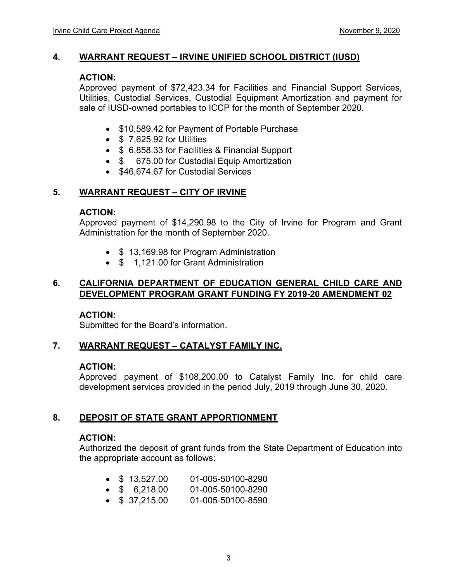#### **4. WARRANT REQUEST – IRVINE UNIFIED SCHOOL DISTRICT (IUSD)**

#### **ACTION:**

Approved payment of \$72,423.34 for Facilities and Financial Support Services, Utilities, Custodial Services, Custodial Equipment Amortization and payment for sale of IUSD-owned portables to ICCP for the month of September 2020.

- \$10,589.42 for Payment of Portable Purchase
- $\bullet$  \$ 7.625.92 for Utilities
- \$ 6,858.33 for Facilities & Financial Support
- \$ 675.00 for Custodial Equip Amortization
- \$46,674.67 for Custodial Services

#### **5. WARRANT REQUEST – CITY OF IRVINE**

#### **ACTION:**

Approved payment of \$14,290.98 to the City of Irvine for Program and Grant Administration for the month of September 2020.

- \$13,169.98 for Program Administration
- \$ 1,121.00 for Grant Administration

#### **6. CALIFORNIA DEPARTMENT OF EDUCATION GENERAL CHILD CARE AND DEVELOPMENT PROGRAM GRANT FUNDING FY 2019-20 AMENDMENT 02**

#### **ACTION:**

Submitted for the Board's information.

#### **7. WARRANT REQUEST – CATALYST FAMILY INC.**

#### **ACTION:**

Approved payment of \$108,200.00 to Catalyst Family Inc. for child care development services provided in the period July, 2019 through June 30, 2020.

#### **8. DEPOSIT OF STATE GRANT APPORTIONMENT**

#### **ACTION:**

Authorized the deposit of grant funds from the State Department of Education into the appropriate account as follows:

- $\bullet$  \$ 13,527.00 01-005-50100-8290
- \$ 6,218.00 01-005-50100-8290
- $\bullet$  \$ 37,215.00 01-005-50100-8590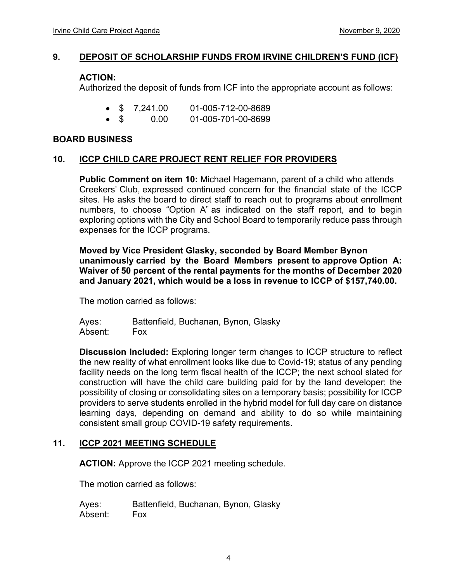#### **9. DEPOSIT OF SCHOLARSHIP FUNDS FROM IRVINE CHILDREN'S FUND (ICF)**

#### **ACTION:**

Authorized the deposit of funds from ICF into the appropriate account as follows:

- \$ 7,241.00 01-005-712-00-8689
- $\bullet$  \$ 0.00 01-005-701-00-8699

#### **BOARD BUSINESS**

#### **10. ICCP CHILD CARE PROJECT RENT RELIEF FOR PROVIDERS**

**Public Comment on item 10:** Michael Hagemann, parent of a child who attends Creekers' Club, expressed continued concern for the financial state of the ICCP sites. He asks the board to direct staff to reach out to programs about enrollment numbers, to choose "Option A" as indicated on the staff report, and to begin exploring options with the City and School Board to temporarily reduce pass through expenses for the ICCP programs.

**Moved by Vice President Glasky, seconded by Board Member Bynon unanimously carried by the Board Members present to approve Option A: Waiver of 50 percent of the rental payments for the months of December 2020 and January 2021, which would be a loss in revenue to ICCP of \$157,740.00.** 

The motion carried as follows:

Ayes: Battenfield, Buchanan, Bynon, Glasky Absent: Fox

**Discussion Included:** Exploring longer term changes to ICCP structure to reflect the new reality of what enrollment looks like due to Covid-19; status of any pending facility needs on the long term fiscal health of the ICCP; the next school slated for construction will have the child care building paid for by the land developer; the possibility of closing or consolidating sites on a temporary basis; possibility for ICCP providers to serve students enrolled in the hybrid model for full day care on distance learning days, depending on demand and ability to do so while maintaining consistent small group COVID-19 safety requirements.

#### **11. ICCP 2021 MEETING SCHEDULE**

**ACTION:** Approve the ICCP 2021 meeting schedule.

The motion carried as follows:

Ayes: Battenfield, Buchanan, Bynon, Glasky Absent: Fox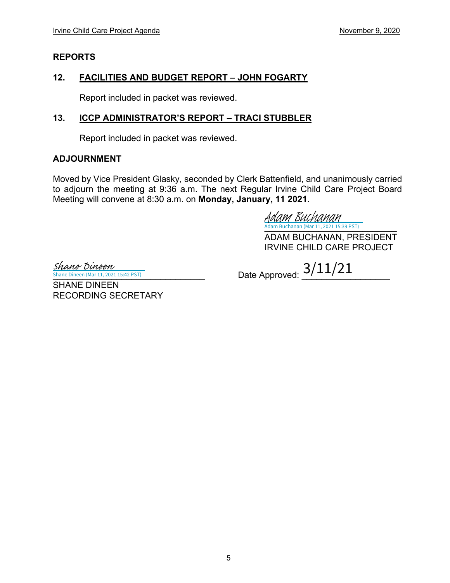#### **REPORTS**

#### **12. FACILITIES AND BUDGET REPORT – JOHN FOGARTY**

Report included in packet was reviewed.

#### **13. ICCP ADMINISTRATOR'S REPORT – TRACI STUBBLER**

Report included in packet was reviewed.

#### **ADJOURNMENT**

Moved by Vice President Glasky, seconded by Clerk Battenfield, and unanimously carried to adjourn the meeting at 9:36 a.m. The next Regular Irvine Child Care Project Board Meeting will convene at 8:30 a.m. on **Monday, January, 11 2021**.

[\\_\\_\\_\\_\\_\\_\\_\\_\\_\\_\\_\\_\\_\\_\\_\\_\\_\\_\\_\\_\\_\\_\\_\\_\\_\\_\\_](https://na2.documents.adobe.com/verifier?tx=CBJCHBCAABAAr0JO6MMjxI5Dy7zKB4QNPwBkoiNzFXkI) Adam Buchanan (Mar 11, 2021 15:39 PST) Adam Buchanan

ADAM BUCHANAN, PRESIDENT IRVINE CHILD CARE PROJECT

Shane Dineen (Mar 11, 2021 15:42 PST) Shane Dineen

RECORDING SECRETARY

SHANE DINEEN

 $\frac{Shane\;Dineen\;(Mar\;11, 2021\;15:42\;PST)}{Shane\;Dineen\;(Mar\;11, 2021\;15:42\;PST)}$  Date Approved:  $\frac{3/11/21}{2}$ 

5